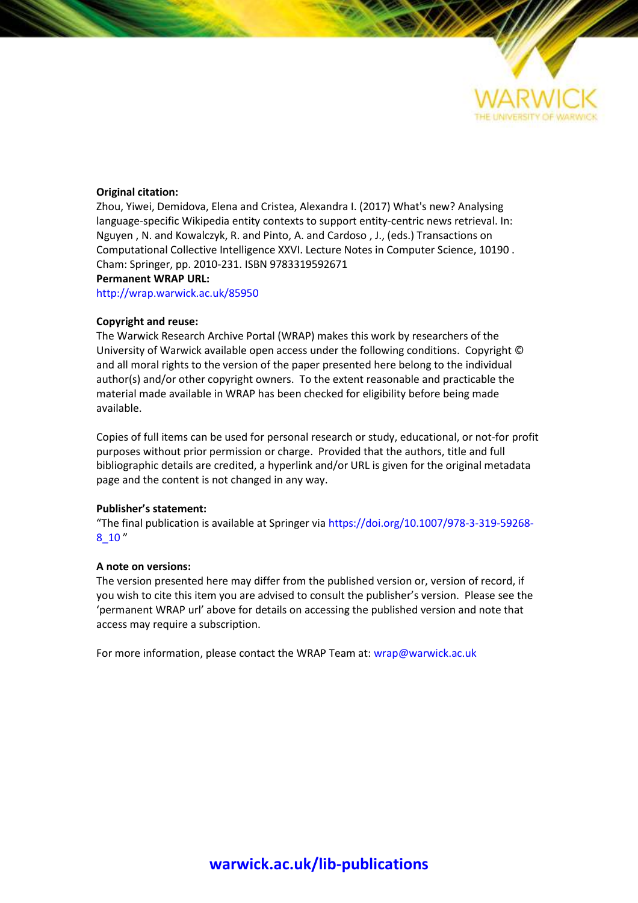

# **Original citation:**

Zhou, Yiwei, Demidova, Elena and Cristea, Alexandra I. (2017) What's new? Analysing language-specific Wikipedia entity contexts to support entity-centric news retrieval. In: Nguyen , N. and Kowalczyk, R. and Pinto, A. and Cardoso , J., (eds.) Transactions on Computational Collective Intelligence XXVI. Lecture Notes in Computer Science, 10190 . Cham: Springer, pp. 2010-231. ISBN 9783319592671 **Permanent WRAP URL:**

<http://wrap.warwick.ac.uk/85950>

# **Copyright and reuse:**

The Warwick Research Archive Portal (WRAP) makes this work by researchers of the University of Warwick available open access under the following conditions. Copyright © and all moral rights to the version of the paper presented here belong to the individual author(s) and/or other copyright owners. To the extent reasonable and practicable the material made available in WRAP has been checked for eligibility before being made available.

Copies of full items can be used for personal research or study, educational, or not-for profit purposes without prior permission or charge. Provided that the authors, title and full bibliographic details are credited, a hyperlink and/or URL is given for the original metadata page and the content is not changed in any way.

# **Publisher's statement:**

"The final publication is available at Springer via [https://doi.org/10.1007/978-3-319-59268-](https://doi.org/10.1007/978-3-319-59268-8_10) [8\\_10](https://doi.org/10.1007/978-3-319-59268-8_10) "

# **A note on versions:**

The version presented here may differ from the published version or, version of record, if you wish to cite this item you are advised to consult the publisher's version. Please see the 'permanent WRAP url' above for details on accessing the published version and note that access may require a subscription.

For more information, please contact the WRAP Team at[: wrap@warwick.ac.uk](mailto:wrap@warwick.ac.uk)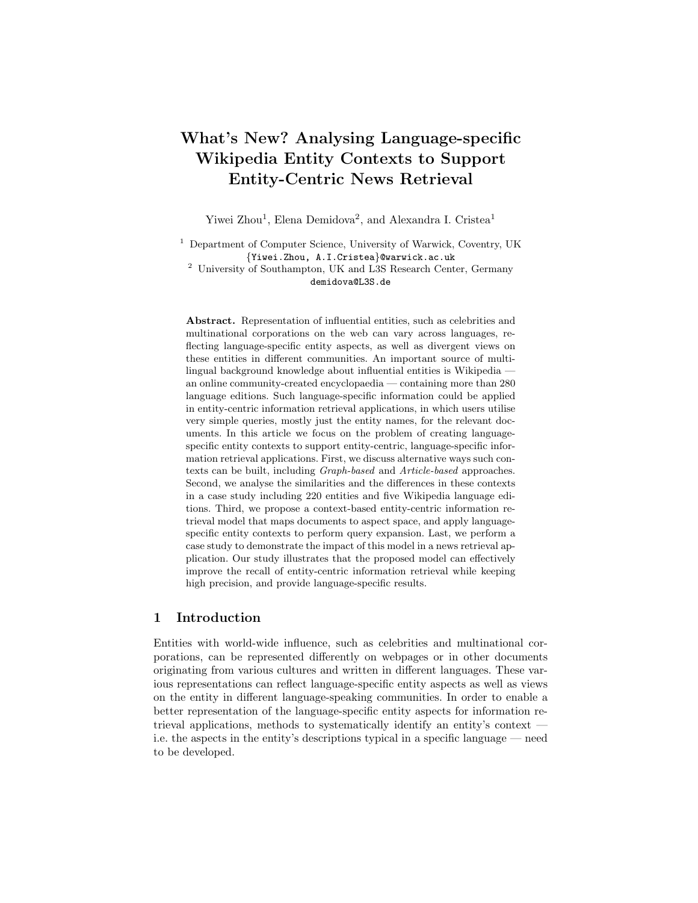# **What's New? Analysing Language-specific Wikipedia Entity Contexts to Support Entity-Centric News Retrieval**

Yiwei Zhou<sup>1</sup>, Elena Demidova<sup>2</sup>, and Alexandra I. Cristea<sup>1</sup>

<sup>1</sup> Department of Computer Science, University of Warwick, Coventry, UK *{*Yiwei.Zhou, A.I.Cristea*}*@warwick.ac.uk

<sup>2</sup> University of Southampton, UK and L3S Research Center, Germany demidova@L3S.de

**Abstract.** Representation of influential entities, such as celebrities and multinational corporations on the web can vary across languages, reflecting language-specific entity aspects, as well as divergent views on these entities in different communities. An important source of multilingual background knowledge about influential entities is Wikipedia an online community-created encyclopaedia — containing more than 280 language editions. Such language-specific information could be applied in entity-centric information retrieval applications, in which users utilise very simple queries, mostly just the entity names, for the relevant documents. In this article we focus on the problem of creating languagespecific entity contexts to support entity-centric, language-specific information retrieval applications. First, we discuss alternative ways such contexts can be built, including *Graph-based* and *Article-based* approaches. Second, we analyse the similarities and the differences in these contexts in a case study including 220 entities and five Wikipedia language editions. Third, we propose a context-based entity-centric information retrieval model that maps documents to aspect space, and apply languagespecific entity contexts to perform query expansion. Last, we perform a case study to demonstrate the impact of this model in a news retrieval application. Our study illustrates that the proposed model can effectively improve the recall of entity-centric information retrieval while keeping high precision, and provide language-specific results.

# **1 Introduction**

Entities with world-wide influence, such as celebrities and multinational corporations, can be represented differently on webpages or in other documents originating from various cultures and written in different languages. These various representations can reflect language-specific entity aspects as well as views on the entity in different language-speaking communities. In order to enable a better representation of the language-specific entity aspects for information retrieval applications, methods to systematically identify an entity's context i.e. the aspects in the entity's descriptions typical in a specific language — need to be developed.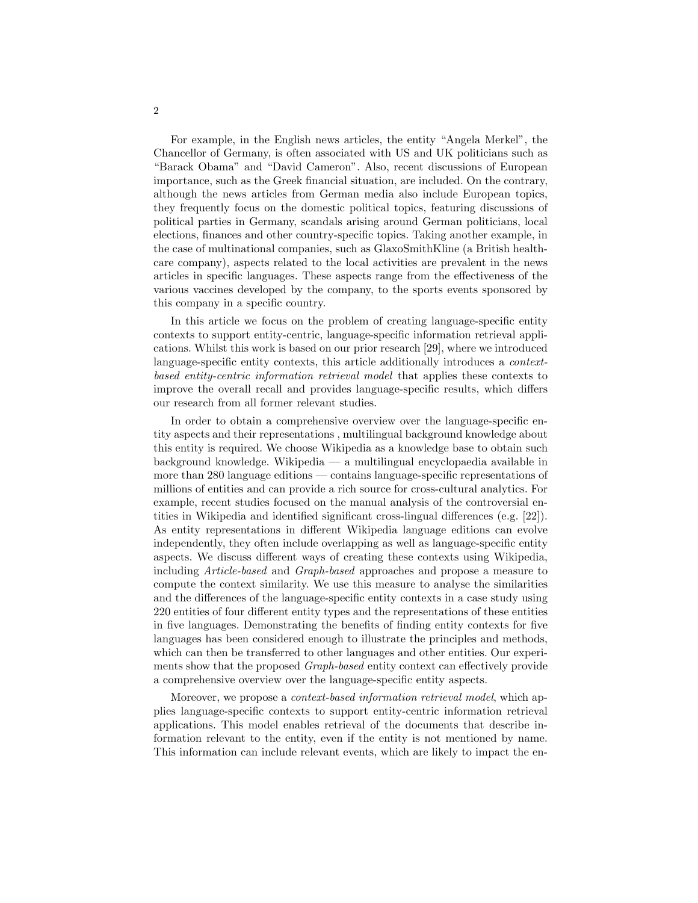For example, in the English news articles, the entity "Angela Merkel", the Chancellor of Germany, is often associated with US and UK politicians such as "Barack Obama" and "David Cameron". Also, recent discussions of European importance, such as the Greek financial situation, are included. On the contrary, although the news articles from German media also include European topics, they frequently focus on the domestic political topics, featuring discussions of political parties in Germany, scandals arising around German politicians, local elections, finances and other country-specific topics. Taking another example, in the case of multinational companies, such as GlaxoSmithKline (a British healthcare company), aspects related to the local activities are prevalent in the news articles in specific languages. These aspects range from the effectiveness of the various vaccines developed by the company, to the sports events sponsored by this company in a specific country.

In this article we focus on the problem of creating language-specific entity contexts to support entity-centric, language-specific information retrieval applications. Whilst this work is based on our prior research [\[29](#page-22-0)], where we introduced language-specific entity contexts, this article additionally introduces a *contextbased entity-centric information retrieval model* that applies these contexts to improve the overall recall and provides language-specific results, which differs our research from all former relevant studies.

In order to obtain a comprehensive overview over the language-specific entity aspects and their representations , multilingual background knowledge about this entity is required. We choose Wikipedia as a knowledge base to obtain such background knowledge. Wikipedia — a multilingual encyclopaedia available in more than 280 language editions — contains language-specific representations of millions of entities and can provide a rich source for cross-cultural analytics. For example, recent studies focused on the manual analysis of the controversial entities in Wikipedia and identified significant cross-lingual differences (e.g. [[22](#page-22-1)]). As entity representations in different Wikipedia language editions can evolve independently, they often include overlapping as well as language-specific entity aspects. We discuss different ways of creating these contexts using Wikipedia, including *Article-based* and *Graph-based* approaches and propose a measure to compute the context similarity. We use this measure to analyse the similarities and the differences of the language-specific entity contexts in a case study using 220 entities of four different entity types and the representations of these entities in five languages. Demonstrating the benefits of finding entity contexts for five languages has been considered enough to illustrate the principles and methods, which can then be transferred to other languages and other entities. Our experiments show that the proposed *Graph-based* entity context can effectively provide a comprehensive overview over the language-specific entity aspects.

Moreover, we propose a *context-based information retrieval model*, which applies language-specific contexts to support entity-centric information retrieval applications. This model enables retrieval of the documents that describe information relevant to the entity, even if the entity is not mentioned by name. This information can include relevant events, which are likely to impact the en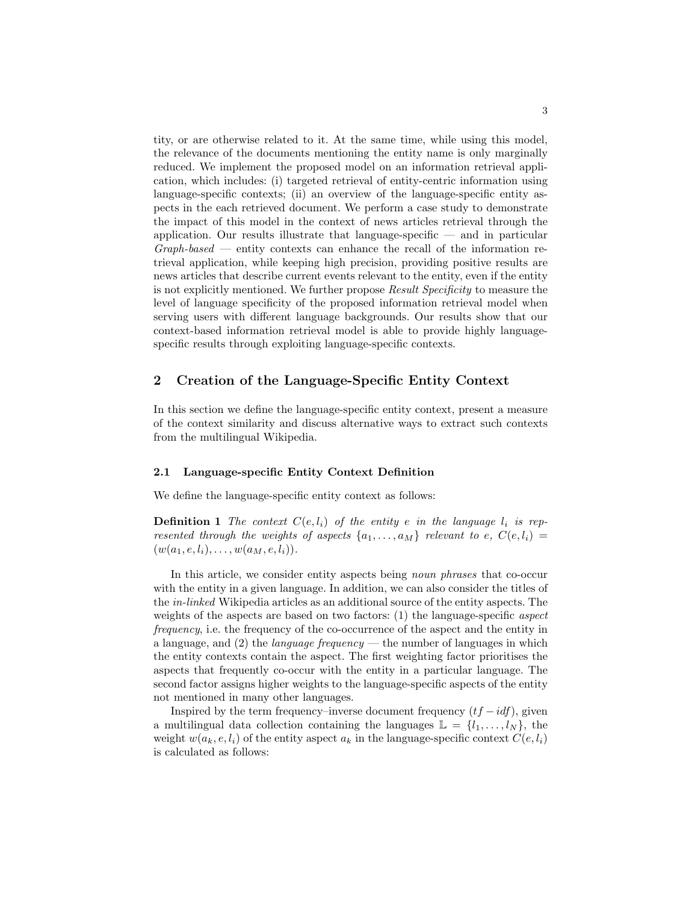tity, or are otherwise related to it. At the same time, while using this model, the relevance of the documents mentioning the entity name is only marginally reduced. We implement the proposed model on an information retrieval application, which includes: (i) targeted retrieval of entity-centric information using language-specific contexts; (ii) an overview of the language-specific entity aspects in the each retrieved document. We perform a case study to demonstrate the impact of this model in the context of news articles retrieval through the application. Our results illustrate that language-specific — and in particular *Graph-based* — entity contexts can enhance the recall of the information retrieval application, while keeping high precision, providing positive results are news articles that describe current events relevant to the entity, even if the entity is not explicitly mentioned. We further propose *Result Specificity* to measure the level of language specificity of the proposed information retrieval model when serving users with different language backgrounds. Our results show that our context-based information retrieval model is able to provide highly languagespecific results through exploiting language-specific contexts.

### <span id="page-3-0"></span>**2 Creation of the Language-Specific Entity Context**

In this section we define the language-specific entity context, present a measure of the context similarity and discuss alternative ways to extract such contexts from the multilingual Wikipedia.

#### **2.1 Language-specific Entity Context Definition**

We define the language-specific entity context as follows:

**Definition 1** *The context*  $C(e, l_i)$  *of the entity e in the language*  $l_i$  *is represented through the weights of aspects*  $\{a_1, \ldots, a_M\}$  *relevant to e, C(e, l<sub>i</sub>) =*  $(w(a_1, e, l_i), \ldots, w(a_M, e, l_i)).$ 

In this article, we consider entity aspects being *noun phrases* that co-occur with the entity in a given language. In addition, we can also consider the titles of the *in-linked* Wikipedia articles as an additional source of the entity aspects. The weights of the aspects are based on two factors: (1) the language-specific *aspect frequency*, i.e. the frequency of the co-occurrence of the aspect and the entity in a language, and (2) the *language frequency* — the number of languages in which the entity contexts contain the aspect. The first weighting factor prioritises the aspects that frequently co-occur with the entity in a particular language. The second factor assigns higher weights to the language-specific aspects of the entity not mentioned in many other languages.

Inspired by the term frequency–inverse document frequency  $(tf - idf)$ , given a multilingual data collection containing the languages  $\mathbb{L} = \{l_1, \ldots, l_N\}$ , the weight  $w(a_k, e, l_i)$  of the entity aspect  $a_k$  in the language-specific context  $C(e, l_i)$ is calculated as follows: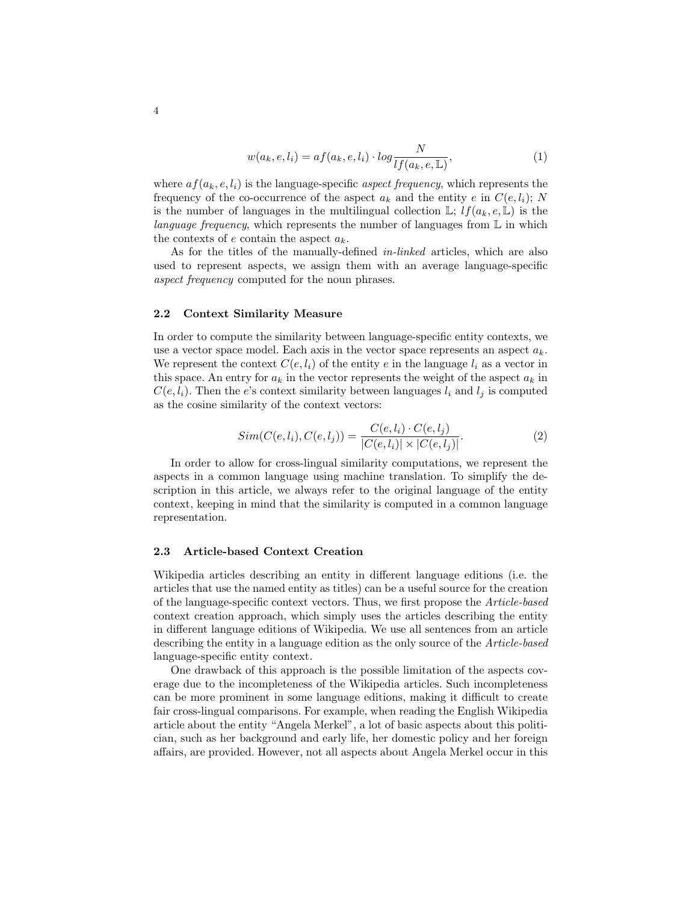$$
w(a_k, e, l_i) = af(a_k, e, l_i) \cdot log \frac{N}{l f(a_k, e, \mathbb{L})},
$$
\n<sup>(1)</sup>

where  $af(a_k, e, l_i)$  is the language-specific *aspect frequency*, which represents the frequency of the co-occurrence of the aspect  $a_k$  and the entity  $e$  in  $C(e, l_i)$ ; N is the number of languages in the multilingual collection  $\mathbb{L}$ ;  $l f(a_k, e, \mathbb{L})$  is the *language frequency*, which represents the number of languages from  $\mathbb{L}$  in which the contexts of *e* contain the aspect *ak*.

As for the titles of the manually-defined *in-linked* articles, which are also used to represent aspects, we assign them with an average language-specific *aspect frequency* computed for the noun phrases.

#### <span id="page-4-0"></span>**2.2 Context Similarity Measure**

In order to compute the similarity between language-specific entity contexts, we use a vector space model. Each axis in the vector space represents an aspect *ak*. We represent the context  $C(e, l_i)$  of the entity  $e$  in the language  $l_i$  as a vector in this space. An entry for  $a_k$  in the vector represents the weight of the aspect  $a_k$  in  $C(e, l_i)$ . Then the *e*'s context similarity between languages  $l_i$  and  $l_j$  is computed as the cosine similarity of the context vectors:

$$
Sim(C(e, l_i), C(e, l_j)) = \frac{C(e, l_i) \cdot C(e, l_j)}{|C(e, l_i)| \times |C(e, l_j)|}.
$$
\n(2)

In order to allow for cross-lingual similarity computations, we represent the aspects in a common language using machine translation. To simplify the description in this article, we always refer to the original language of the entity context, keeping in mind that the similarity is computed in a common language representation.

### **2.3 Article-based Context Creation**

Wikipedia articles describing an entity in different language editions (i.e. the articles that use the named entity as titles) can be a useful source for the creation of the language-specific context vectors. Thus, we first propose the *Article-based* context creation approach, which simply uses the articles describing the entity in different language editions of Wikipedia. We use all sentences from an article describing the entity in a language edition as the only source of the *Article-based* language-specific entity context.

One drawback of this approach is the possible limitation of the aspects coverage due to the incompleteness of the Wikipedia articles. Such incompleteness can be more prominent in some language editions, making it difficult to create fair cross-lingual comparisons. For example, when reading the English Wikipedia article about the entity "Angela Merkel", a lot of basic aspects about this politician, such as her background and early life, her domestic policy and her foreign affairs, are provided. However, not all aspects about Angela Merkel occur in this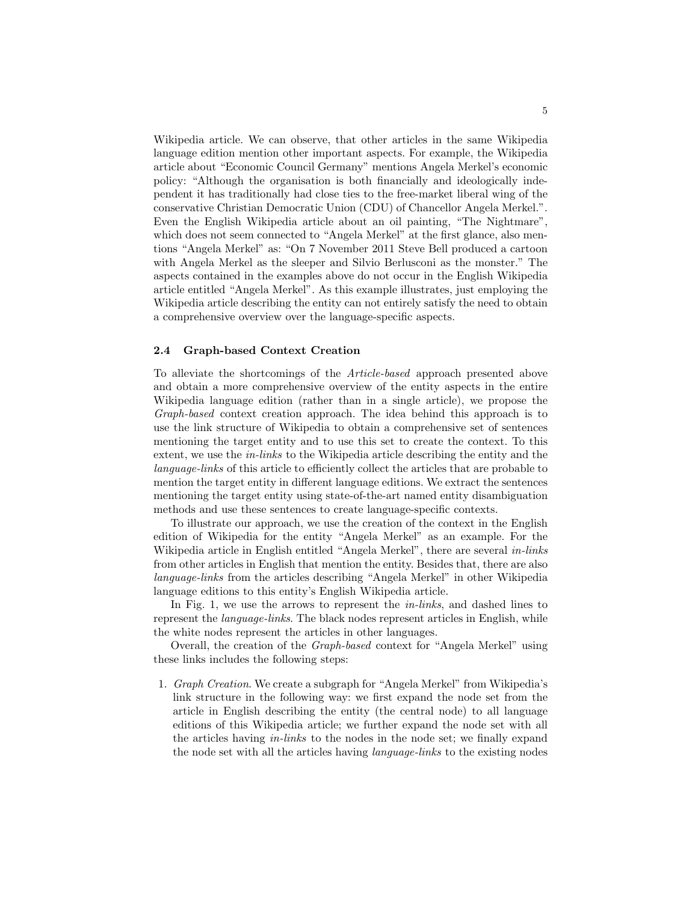Wikipedia article. We can observe, that other articles in the same Wikipedia language edition mention other important aspects. For example, the Wikipedia article about "Economic Council Germany" mentions Angela Merkel's economic policy: "Although the organisation is both financially and ideologically independent it has traditionally had close ties to the free-market liberal wing of the conservative Christian Democratic Union (CDU) of Chancellor Angela Merkel.". Even the English Wikipedia article about an oil painting, "The Nightmare", which does not seem connected to "Angela Merkel" at the first glance, also mentions "Angela Merkel" as: "On 7 November 2011 Steve Bell produced a cartoon with Angela Merkel as the sleeper and Silvio Berlusconi as the monster." The aspects contained in the examples above do not occur in the English Wikipedia article entitled "Angela Merkel". As this example illustrates, just employing the Wikipedia article describing the entity can not entirely satisfy the need to obtain a comprehensive overview over the language-specific aspects.

### **2.4 Graph-based Context Creation**

To alleviate the shortcomings of the *Article-based* approach presented above and obtain a more comprehensive overview of the entity aspects in the entire Wikipedia language edition (rather than in a single article), we propose the *Graph-based* context creation approach. The idea behind this approach is to use the link structure of Wikipedia to obtain a comprehensive set of sentences mentioning the target entity and to use this set to create the context. To this extent, we use the *in-links* to the Wikipedia article describing the entity and the *language-links* of this article to efficiently collect the articles that are probable to mention the target entity in different language editions. We extract the sentences mentioning the target entity using state-of-the-art named entity disambiguation methods and use these sentences to create language-specific contexts.

To illustrate our approach, we use the creation of the context in the English edition of Wikipedia for the entity "Angela Merkel" as an example. For the Wikipedia article in English entitled "Angela Merkel", there are several *in-links* from other articles in English that mention the entity. Besides that, there are also *language-links* from the articles describing "Angela Merkel" in other Wikipedia language editions to this entity's English Wikipedia article.

In Fig. [1](#page-6-0), we use the arrows to represent the *in-links*, and dashed lines to represent the *language-links*. The black nodes represent articles in English, while the white nodes represent the articles in other languages.

Overall, the creation of the *Graph-based* context for "Angela Merkel" using these links includes the following steps:

1. *Graph Creation*. We create a subgraph for "Angela Merkel" from Wikipedia's link structure in the following way: we first expand the node set from the article in English describing the entity (the central node) to all language editions of this Wikipedia article; we further expand the node set with all the articles having *in-links* to the nodes in the node set; we finally expand the node set with all the articles having *language-links* to the existing nodes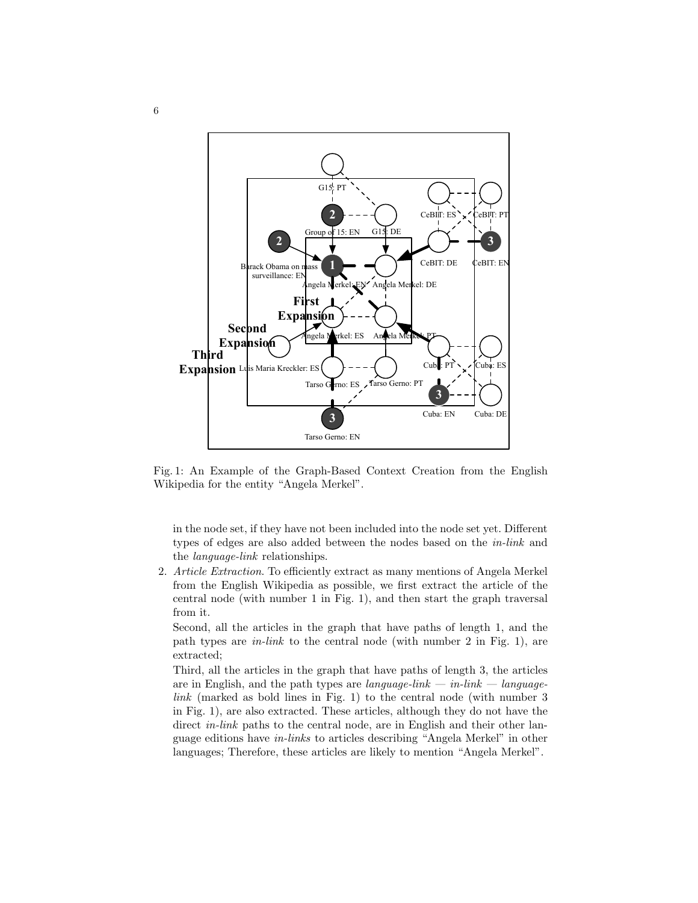<span id="page-6-0"></span>

Fig. 1: An Example of the Graph-Based Context Creation from the English Wikipedia for the entity "Angela Merkel".

in the node set, if they have not been included into the node set yet. Different types of edges are also added between the nodes based on the *in-link* and the *language-link* relationships.

2. *Article Extraction*. To efficiently extract as many mentions of Angela Merkel from the English Wikipedia as possible, we first extract the article of the central node (with number 1 in Fig. [1\)](#page-6-0), and then start the graph traversal from it.

Second, all the articles in the graph that have paths of length 1, and the path types are *in-link* to the central node (with number 2 in Fig. [1](#page-6-0)), are extracted;

Third, all the articles in the graph that have paths of length 3, the articles are in English, and the path types are *language-link — in-link — languagelink* (marked as bold lines in Fig. [1](#page-6-0)) to the central node (with number 3) in Fig. [1\)](#page-6-0), are also extracted. These articles, although they do not have the direct *in-link* paths to the central node, are in English and their other language editions have *in-links* to articles describing "Angela Merkel" in other languages; Therefore, these articles are likely to mention "Angela Merkel".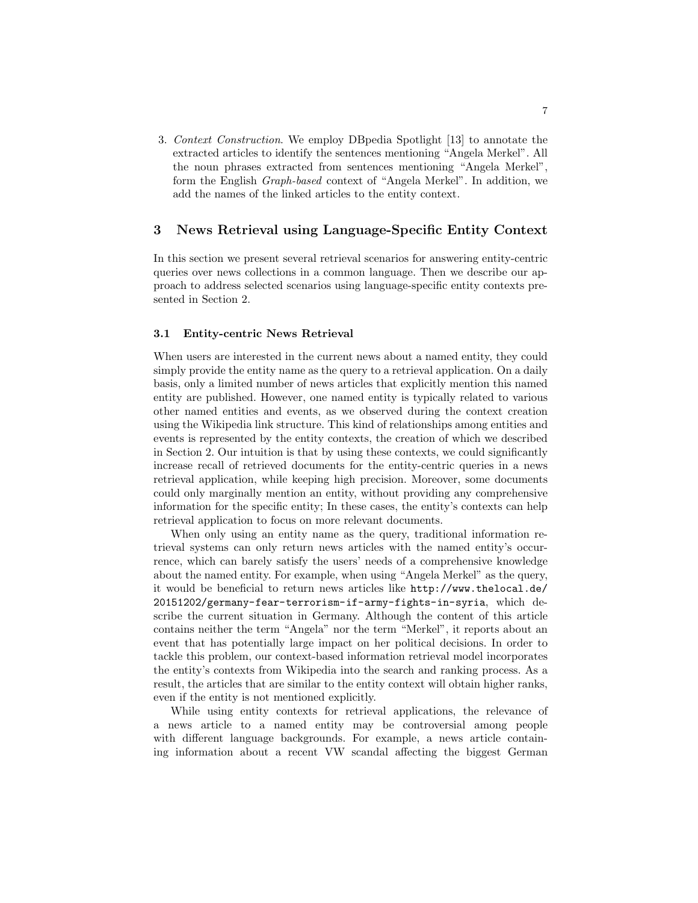3. *Context Construction*. We employ DBpedia Spotlight [[13\]](#page-21-0) to annotate the extracted articles to identify the sentences mentioning "Angela Merkel". All the noun phrases extracted from sentences mentioning "Angela Merkel", form the English *Graph-based* context of "Angela Merkel". In addition, we add the names of the linked articles to the entity context.

### **3 News Retrieval using Language-Specific Entity Context**

In this section we present several retrieval scenarios for answering entity-centric queries over news collections in a common language. Then we describe our approach to address selected scenarios using language-specific entity contexts presented in Section [2](#page-3-0).

#### **3.1 Entity-centric News Retrieval**

When users are interested in the current news about a named entity, they could simply provide the entity name as the query to a retrieval application. On a daily basis, only a limited number of news articles that explicitly mention this named entity are published. However, one named entity is typically related to various other named entities and events, as we observed during the context creation using the Wikipedia link structure. This kind of relationships among entities and events is represented by the entity contexts, the creation of which we described in Section [2](#page-3-0). Our intuition is that by using these contexts, we could significantly increase recall of retrieved documents for the entity-centric queries in a news retrieval application, while keeping high precision. Moreover, some documents could only marginally mention an entity, without providing any comprehensive information for the specific entity; In these cases, the entity's contexts can help retrieval application to focus on more relevant documents.

When only using an entity name as the query, traditional information retrieval systems can only return news articles with the named entity's occurrence, which can barely satisfy the users' needs of a comprehensive knowledge about the named entity. For example, when using "Angela Merkel" as the query, it would be beneficial to return news articles like [http://www.thelocal.de/](http://www.thelocal.de/20151202/germany-fear-terrorism-if-army-fights-in-syria) [20151202/germany-fear-terrorism-if-army-fights-in-syria](http://www.thelocal.de/20151202/germany-fear-terrorism-if-army-fights-in-syria), which describe the current situation in Germany. Although the content of this article contains neither the term "Angela" nor the term "Merkel", it reports about an event that has potentially large impact on her political decisions. In order to tackle this problem, our context-based information retrieval model incorporates the entity's contexts from Wikipedia into the search and ranking process. As a result, the articles that are similar to the entity context will obtain higher ranks, even if the entity is not mentioned explicitly.

While using entity contexts for retrieval applications, the relevance of a news article to a named entity may be controversial among people with different language backgrounds. For example, a news article containing information about a recent VW scandal affecting the biggest German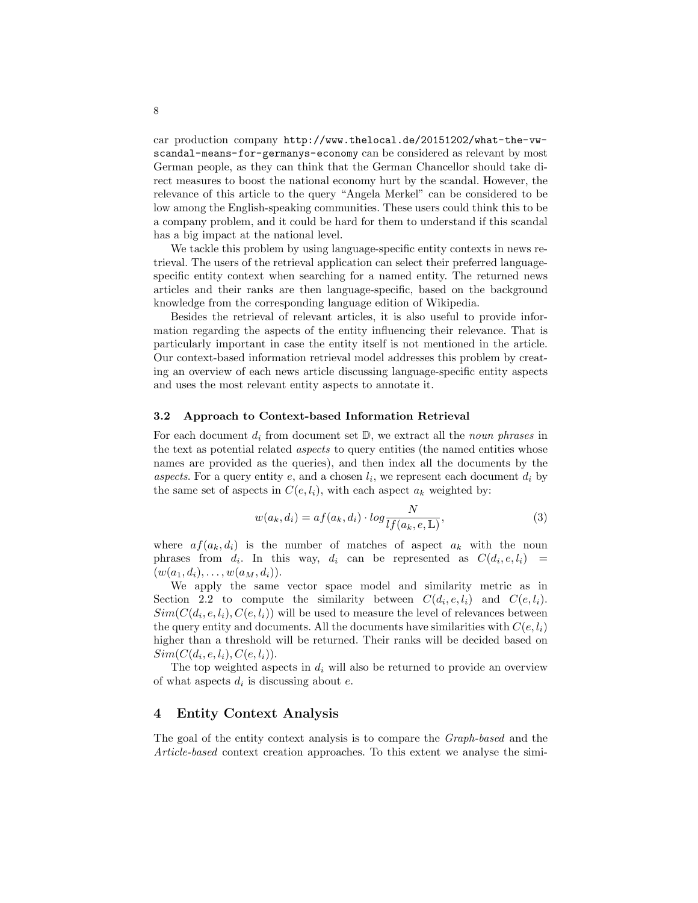car production company [http://www.thelocal.de/20151202/what-the-vw](http://www.thelocal.de/20151202/what-the-vw-scandal-means-for-germanys-economy)[scandal-means-for-germanys-economy](http://www.thelocal.de/20151202/what-the-vw-scandal-means-for-germanys-economy) can be considered as relevant by most German people, as they can think that the German Chancellor should take direct measures to boost the national economy hurt by the scandal. However, the relevance of this article to the query "Angela Merkel" can be considered to be low among the English-speaking communities. These users could think this to be a company problem, and it could be hard for them to understand if this scandal has a big impact at the national level.

We tackle this problem by using language-specific entity contexts in news retrieval. The users of the retrieval application can select their preferred languagespecific entity context when searching for a named entity. The returned news articles and their ranks are then language-specific, based on the background knowledge from the corresponding language edition of Wikipedia.

Besides the retrieval of relevant articles, it is also useful to provide information regarding the aspects of the entity influencing their relevance. That is particularly important in case the entity itself is not mentioned in the article. Our context-based information retrieval model addresses this problem by creating an overview of each news article discussing language-specific entity aspects and uses the most relevant entity aspects to annotate it.

#### **3.2 Approach to Context-based Information Retrieval**

For each document *d<sup>i</sup>* from document set D, we extract all the *noun phrases* in the text as potential related *aspects* to query entities (the named entities whose names are provided as the queries), and then index all the documents by the aspects. For a query entity  $e$ , and a chosen  $l_i$ , we represent each document  $d_i$  by the same set of aspects in  $C(e, l_i)$ , with each aspect  $a_k$  weighted by:

$$
w(a_k, d_i) = af(a_k, d_i) \cdot log \frac{N}{lf(a_k, e, \mathbb{L})},
$$
\n(3)

where  $af(a_k, d_i)$  is the number of matches of aspect  $a_k$  with the noun phrases from  $d_i$ . In this way,  $d_i$  can be represented as  $C(d_i, e, l_i)$  =  $(w(a_1, d_i), \ldots, w(a_M, d_i)).$ 

We apply the same vector space model and similarity metric as in Section [2.2](#page-4-0) to compute the similarity between  $C(d_i, e, l_i)$  and  $C(e, l_i)$ .  $Sim(C(d_i, e, l_i), C(e, l_i))$  will be used to measure the level of relevances between the query entity and documents. All the documents have similarities with  $C(e, l_i)$ higher than a threshold will be returned. Their ranks will be decided based on  $Sim(C(d_i, e, l_i), C(e, l_i)).$ 

The top weighted aspects in *d<sup>i</sup>* will also be returned to provide an overview of what aspects  $d_i$  is discussing about  $e$ .

### **4 Entity Context Analysis**

The goal of the entity context analysis is to compare the *Graph-based* and the *Article-based* context creation approaches. To this extent we analyse the simi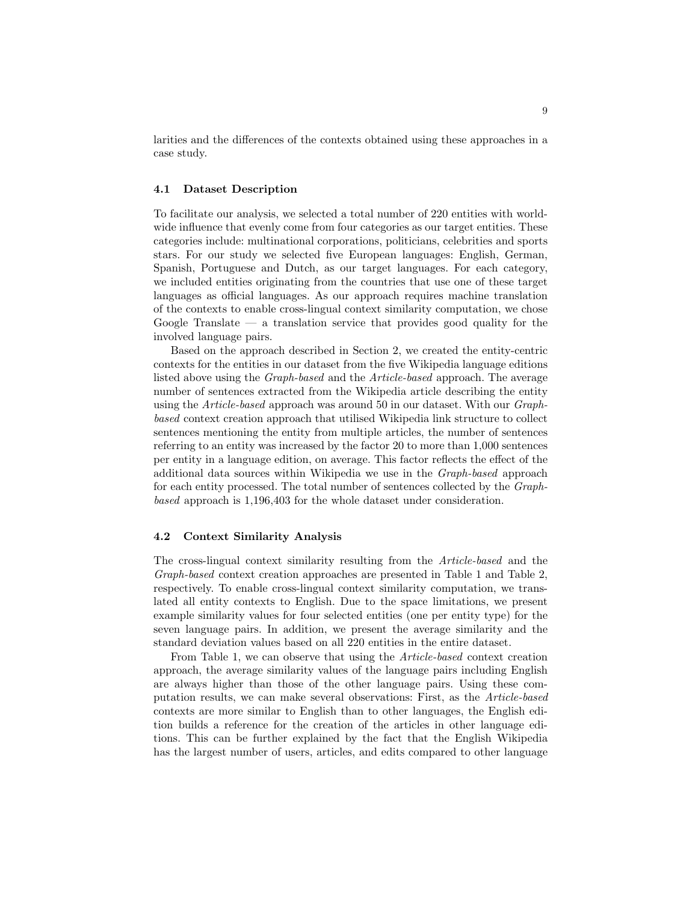larities and the differences of the contexts obtained using these approaches in a case study.

#### **4.1 Dataset Description**

To facilitate our analysis, we selected a total number of 220 entities with worldwide influence that evenly come from four categories as our target entities. These categories include: multinational corporations, politicians, celebrities and sports stars. For our study we selected five European languages: English, German, Spanish, Portuguese and Dutch, as our target languages. For each category, we included entities originating from the countries that use one of these target languages as official languages. As our approach requires machine translation of the contexts to enable cross-lingual context similarity computation, we chose Google Translate  $\overline{\phantom{a}}$  a translation service that provides good quality for the involved language pairs.

Based on the approach described in Section [2,](#page-3-0) we created the entity-centric contexts for the entities in our dataset from the five Wikipedia language editions listed above using the *Graph-based* and the *Article-based* approach. The average number of sentences extracted from the Wikipedia article describing the entity using the *Article-based* approach was around 50 in our dataset. With our *Graphbased* context creation approach that utilised Wikipedia link structure to collect sentences mentioning the entity from multiple articles, the number of sentences referring to an entity was increased by the factor 20 to more than 1,000 sentences per entity in a language edition, on average. This factor reflects the effect of the additional data sources within Wikipedia we use in the *Graph-based* approach for each entity processed. The total number of sentences collected by the *Graphbased* approach is 1,196,403 for the whole dataset under consideration.

#### **4.2 Context Similarity Analysis**

The cross-lingual context similarity resulting from the *Article-based* and the *Graph-based* context creation approaches are presented in Table [1](#page-10-0) and Table [2,](#page-10-1) respectively. To enable cross-lingual context similarity computation, we translated all entity contexts to English. Due to the space limitations, we present example similarity values for four selected entities (one per entity type) for the seven language pairs. In addition, we present the average similarity and the standard deviation values based on all 220 entities in the entire dataset.

From Table [1,](#page-10-0) we can observe that using the *Article-based* context creation approach, the average similarity values of the language pairs including English are always higher than those of the other language pairs. Using these computation results, we can make several observations: First, as the *Article-based* contexts are more similar to English than to other languages, the English edition builds a reference for the creation of the articles in other language editions. This can be further explained by the fact that the English Wikipedia has the largest number of users, articles, and edits compared to other language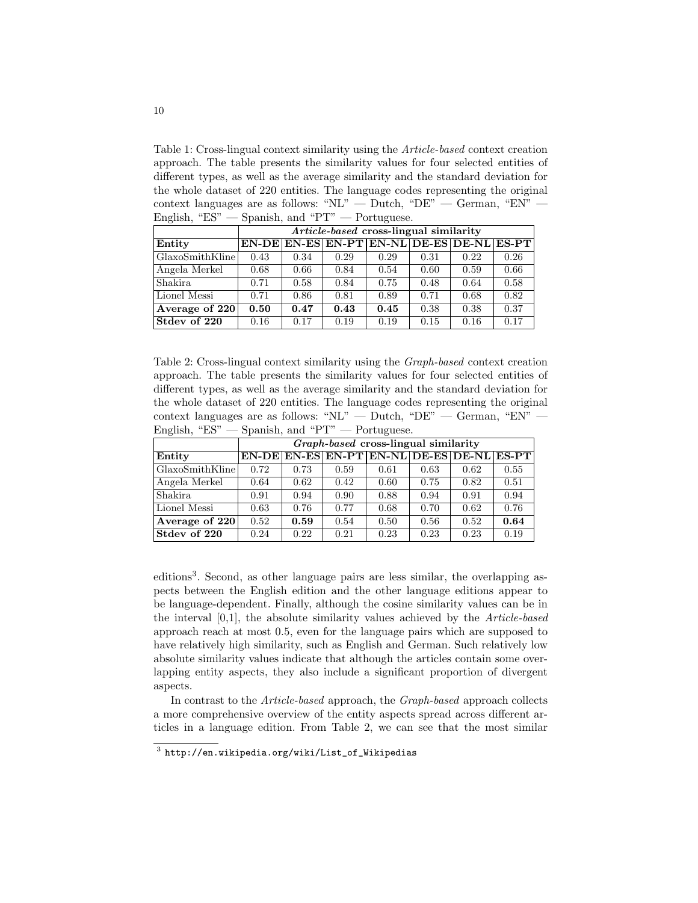<span id="page-10-0"></span>Table 1: Cross-lingual context similarity using the *Article-based* context creation approach. The table presents the similarity values for four selected entities of different types, as well as the average similarity and the standard deviation for the whole dataset of 220 entities. The language codes representing the original context languages are as follows: "NL" — Dutch, "DE" — German, "EN" — English, "ES" — Spanish, and "PT" — Portuguese.

|                             | Article-based cross-lingual similarity |      |      |                                             |      |      |      |
|-----------------------------|----------------------------------------|------|------|---------------------------------------------|------|------|------|
| Entity                      |                                        |      |      | $EN-DE EN-ES EN-PT EN-NL DE-ES DE-NL ES-PT$ |      |      |      |
| GlaxoSmithKline             | 0.43                                   | 0.34 | 0.29 | 0.29                                        | 0.31 | 0.22 | 0.26 |
| Angela Merkel               | 0.68                                   | 0.66 | 0.84 | 0.54                                        | 0.60 | 0.59 | 0.66 |
| Shakira                     | 0.71                                   | 0.58 | 0.84 | 0.75                                        | 0.48 | 0.64 | 0.58 |
| Lionel Messi                | 0.71                                   | 0.86 | 0.81 | 0.89                                        | 0.71 | 0.68 | 0.82 |
| Average of $2\overline{20}$ | 0.50                                   | 0.47 | 0.43 | 0.45                                        | 0.38 | 0.38 | 0.37 |
| Stdev of 220                | 0.16                                   | 0.17 | 0.19 | 0.19                                        | 0.15 | 0.16 | 0.17 |

<span id="page-10-1"></span>Table 2: Cross-lingual context similarity using the *Graph-based* context creation approach. The table presents the similarity values for four selected entities of different types, as well as the average similarity and the standard deviation for the whole dataset of 220 entities. The language codes representing the original context languages are as follows: "NL" — Dutch, "DE" — German, "EN" — English, " $ES''$  — Spanish, and " $PT''$  — Portuguese.

|                 | $\overline{Graph-based}$ cross-lingual similarity |      |      |                                           |      |      |      |
|-----------------|---------------------------------------------------|------|------|-------------------------------------------|------|------|------|
| Entity          |                                                   |      |      | EN-DE EN-ES EN-PT EN-NL DE-ES DE-NL ES-PT |      |      |      |
| GlaxoSmithKline | 0.72                                              | 0.73 | 0.59 | 0.61                                      | 0.63 | 0.62 | 0.55 |
| Angela Merkel   | 0.64                                              | 0.62 | 0.42 | 0.60                                      | 0.75 | 0.82 | 0.51 |
| Shakira         | 0.91                                              | 0.94 | 0.90 | 0.88                                      | 0.94 | 0.91 | 0.94 |
| Lionel Messi    | 0.63                                              | 0.76 | 0.77 | 0.68                                      | 0.70 | 0.62 | 0.76 |
| Average of 220  | 0.52                                              | 0.59 | 0.54 | 0.50                                      | 0.56 | 0.52 | 0.64 |
| Stdev of 220    | 0.24                                              | 0.22 | 0.21 | 0.23                                      | 0.23 | 0.23 | 0.19 |

editions<sup>[3](#page-10-2)</sup>. Second, as other language pairs are less similar, the overlapping aspects between the English edition and the other language editions appear to be language-dependent. Finally, although the cosine similarity values can be in the interval [0,1], the absolute similarity values achieved by the *Article-based* approach reach at most 0.5, even for the language pairs which are supposed to have relatively high similarity, such as English and German. Such relatively low absolute similarity values indicate that although the articles contain some overlapping entity aspects, they also include a significant proportion of divergent aspects.

In contrast to the *Article-based* approach, the *Graph-based* approach collects a more comprehensive overview of the entity aspects spread across different articles in a language edition. From Table [2,](#page-10-1) we can see that the most similar

<span id="page-10-2"></span> $^3$  [http://en.wikipedia.org/wiki/List\\_of\\_Wikipedias](http://en.wikipedia.org/wiki/List_of_Wikipedias)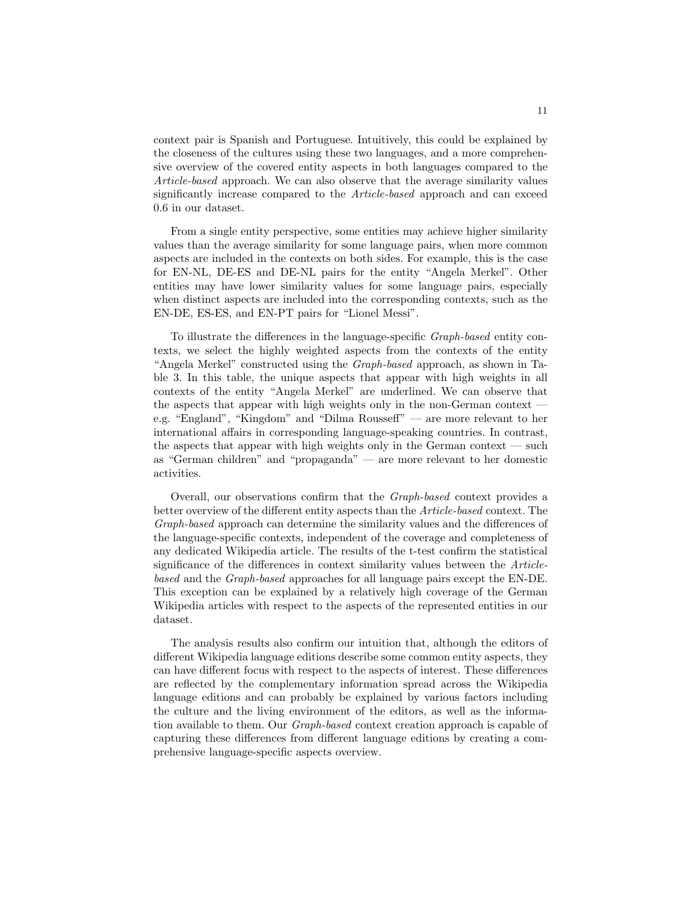context pair is Spanish and Portuguese. Intuitively, this could be explained by the closeness of the cultures using these two languages, and a more comprehensive overview of the covered entity aspects in both languages compared to the *Article-based* approach. We can also observe that the average similarity values significantly increase compared to the *Article-based* approach and can exceed 0.6 in our dataset.

From a single entity perspective, some entities may achieve higher similarity values than the average similarity for some language pairs, when more common aspects are included in the contexts on both sides. For example, this is the case for EN-NL, DE-ES and DE-NL pairs for the entity "Angela Merkel". Other entities may have lower similarity values for some language pairs, especially when distinct aspects are included into the corresponding contexts, such as the EN-DE, ES-ES, and EN-PT pairs for "Lionel Messi".

To illustrate the differences in the language-specific *Graph-based* entity contexts, we select the highly weighted aspects from the contexts of the entity "Angela Merkel" constructed using the *Graph-based* approach, as shown in Table [3](#page-12-0). In this table, the unique aspects that appear with high weights in all contexts of the entity "Angela Merkel" are underlined. We can observe that the aspects that appear with high weights only in the non-German context e.g. "England", "Kingdom" and "Dilma Rousseff" — are more relevant to her international affairs in corresponding language-speaking countries. In contrast, the aspects that appear with high weights only in the German context — such as "German children" and "propaganda" — are more relevant to her domestic activities.

Overall, our observations confirm that the *Graph-based* context provides a better overview of the different entity aspects than the *Article-based* context. The *Graph-based* approach can determine the similarity values and the differences of the language-specific contexts, independent of the coverage and completeness of any dedicated Wikipedia article. The results of the t-test confirm the statistical significance of the differences in context similarity values between the *Articlebased* and the *Graph-based* approaches for all language pairs except the EN-DE. This exception can be explained by a relatively high coverage of the German Wikipedia articles with respect to the aspects of the represented entities in our dataset.

The analysis results also confirm our intuition that, although the editors of different Wikipedia language editions describe some common entity aspects, they can have different focus with respect to the aspects of interest. These differences are reflected by the complementary information spread across the Wikipedia language editions and can probably be explained by various factors including the culture and the living environment of the editors, as well as the information available to them. Our *Graph-based* context creation approach is capable of capturing these differences from different language editions by creating a comprehensive language-specific aspects overview.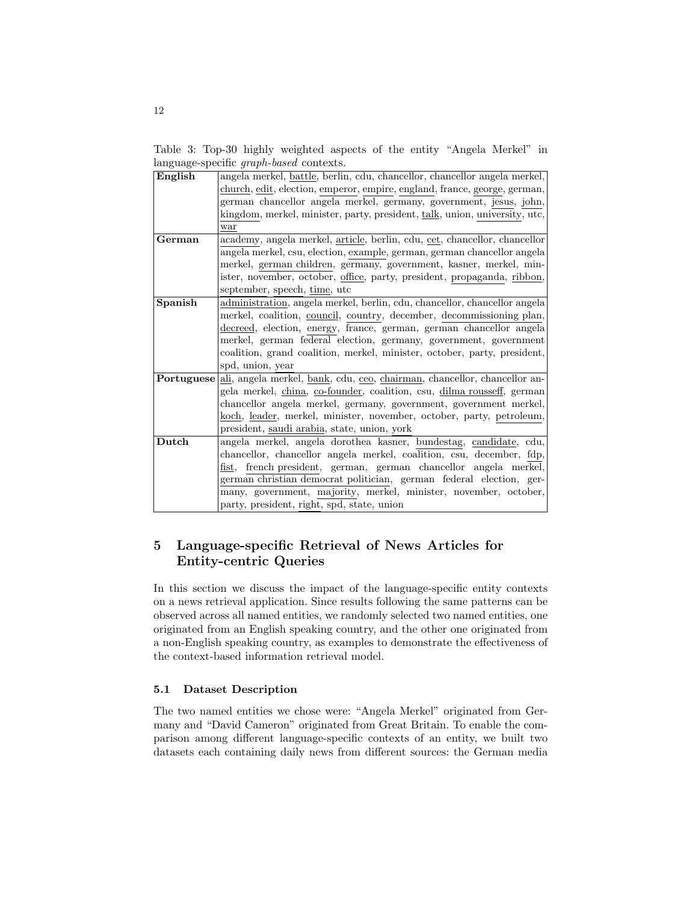<span id="page-12-0"></span>Table 3: Top-30 highly weighted aspects of the entity "Angela Merkel" in language-specific *graph-based* contexts.

| English        | angela merkel, battle, berlin, cdu, chancellor, chancellor angela merkel,                  |
|----------------|--------------------------------------------------------------------------------------------|
|                | church, edit, election, emperor, empire, england, france, george, german,                  |
|                | german chancellor angela merkel, germany, government, jesus, john,                         |
|                | kingdom, merkel, minister, party, president, talk, union, university, utc,                 |
|                | war                                                                                        |
| ${\rm German}$ | academy, angela merkel, article, berlin, cdu, cet, chancellor, chancellor                  |
|                | angela merkel, csu, election, example, german, german chancellor angela                    |
|                | merkel, german children, germany, government, kasner, merkel, min-                         |
|                | ister, november, october, office, party, president, propaganda, ribbon,                    |
|                | september, speech, time, utc                                                               |
| Spanish        | administration, angela merkel, berlin, cdu, chancellor, chancellor angela                  |
|                | merkel, coalition, council, country, december, decommissioning plan,                       |
|                | decreed, election, energy, france, german, german chancellor angela                        |
|                | merkel, german federal election, germany, government, government                           |
|                | coalition, grand coalition, merkel, minister, october, party, president,                   |
|                | spd, union, year                                                                           |
|                | <b>Portuguese</b> ali, angela merkel, bank, cdu, ceo, chairman, chancellor, chancellor an- |
|                | gela merkel, china, co-founder, coalition, csu, dilma rousseff, german                     |
|                | chancellor angela merkel, germany, government, government merkel,                          |
|                | koch, leader, merkel, minister, november, october, party, petroleum,                       |
|                | president, saudi arabia, state, union, york                                                |
| Dutch          | angela merkel, angela dorothea kasner, bundestag, candidate, cdu,                          |
|                | chancellor, chancellor angela merkel, coalition, csu, december, fdp,                       |
|                | fist, french president, german, german chancellor angela merkel,                           |
|                | german christian democrat politician, german federal election, ger-                        |
|                | many, government, majority, merkel, minister, november, october,                           |
|                | party, president, right, spd, state, union                                                 |

# **5 Language-specific Retrieval of News Articles for Entity-centric Queries**

In this section we discuss the impact of the language-specific entity contexts on a news retrieval application. Since results following the same patterns can be observed across all named entities, we randomly selected two named entities, one originated from an English speaking country, and the other one originated from a non-English speaking country, as examples to demonstrate the effectiveness of the context-based information retrieval model.

### <span id="page-12-1"></span>**5.1 Dataset Description**

The two named entities we chose were: "Angela Merkel" originated from Germany and "David Cameron" originated from Great Britain. To enable the comparison among different language-specific contexts of an entity, we built two datasets each containing daily news from different sources: the German media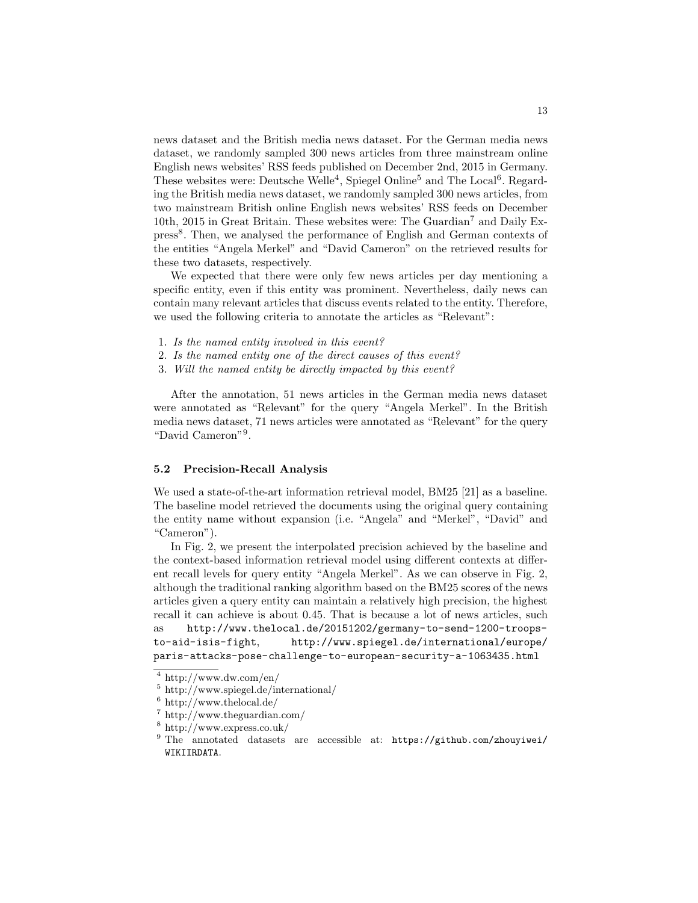news dataset and the British media news dataset. For the German media news dataset, we randomly sampled 300 news articles from three mainstream online English news websites' RSS feeds published on December 2nd, 2015 in Germany. These websites were: Deutsche Welle<sup>[4](#page-13-0)</sup>, Spiegel Online<sup>[5](#page-13-1)</sup> and The Local<sup>[6](#page-13-2)</sup>. Regarding the British media news dataset, we randomly sampled 300 news articles, from two mainstream British online English news websites' RSS feeds on December 10th, 2015 in Great Britain. These websites were: The Guardian[7](#page-13-3) and Daily Ex-press<sup>[8](#page-13-4)</sup>. Then, we analysed the performance of English and German contexts of the entities "Angela Merkel" and "David Cameron" on the retrieved results for these two datasets, respectively.

We expected that there were only few news articles per day mentioning a specific entity, even if this entity was prominent. Nevertheless, daily news can contain many relevant articles that discuss events related to the entity. Therefore, we used the following criteria to annotate the articles as "Relevant":

- 1. *Is the named entity involved in this event?*
- 2. *Is the named entity one of the direct causes of this event?*
- 3. *Will the named entity be directly impacted by this event?*

After the annotation, 51 news articles in the German media news dataset were annotated as "Relevant" for the query "Angela Merkel". In the British media news dataset, 71 news articles were annotated as "Relevant" for the query "David Cameron"[9](#page-13-5) .

#### **5.2 Precision-Recall Analysis**

We used a state-of-the-art information retrieval model, BM25 [[21\]](#page-22-2) as a baseline. The baseline model retrieved the documents using the original query containing the entity name without expansion (i.e. "Angela" and "Merkel", "David" and "Cameron").

In Fig. [2](#page-14-0), we present the interpolated precision achieved by the baseline and the context-based information retrieval model using different contexts at different recall levels for query entity "Angela Merkel". As we can observe in Fig. [2,](#page-14-0) although the traditional ranking algorithm based on the BM25 scores of the news articles given a query entity can maintain a relatively high precision, the highest recall it can achieve is about 0.45. That is because a lot of news articles, such as [http://www.thelocal.de/20151202/germany-to-send-1200-troops](http://www.thelocal.de/20151202/germany-to-send-1200-troops-to-aid-isis-fight)[to-aid-isis-fight](http://www.thelocal.de/20151202/germany-to-send-1200-troops-to-aid-isis-fight), [http://www.spiegel.de/international/europe/](http://www.spiegel.de/international/europe/paris-attacks-pose-challenge-to-european-security-a-1063435.html) [paris-attacks-pose-challenge-to-european-security-a-1063435.html](http://www.spiegel.de/international/europe/paris-attacks-pose-challenge-to-european-security-a-1063435.html)

<span id="page-13-0"></span><sup>4</sup> http://www.dw.com/en/

<span id="page-13-1"></span><sup>5</sup> http://www.spiegel.de/international/

<span id="page-13-2"></span> $6$  http://www.thelocal.de/

<span id="page-13-3"></span><sup>7</sup> http://www.theguardian.com/

<span id="page-13-4"></span><sup>8</sup> http://www.express.co.uk/

<span id="page-13-5"></span><sup>&</sup>lt;sup>9</sup> The annotated datasets are accessible at: [https://github.com/zhouyiwei/](https://github.com/zhouyiwei/WIKIIRDATA) [WIKIIRDATA](https://github.com/zhouyiwei/WIKIIRDATA).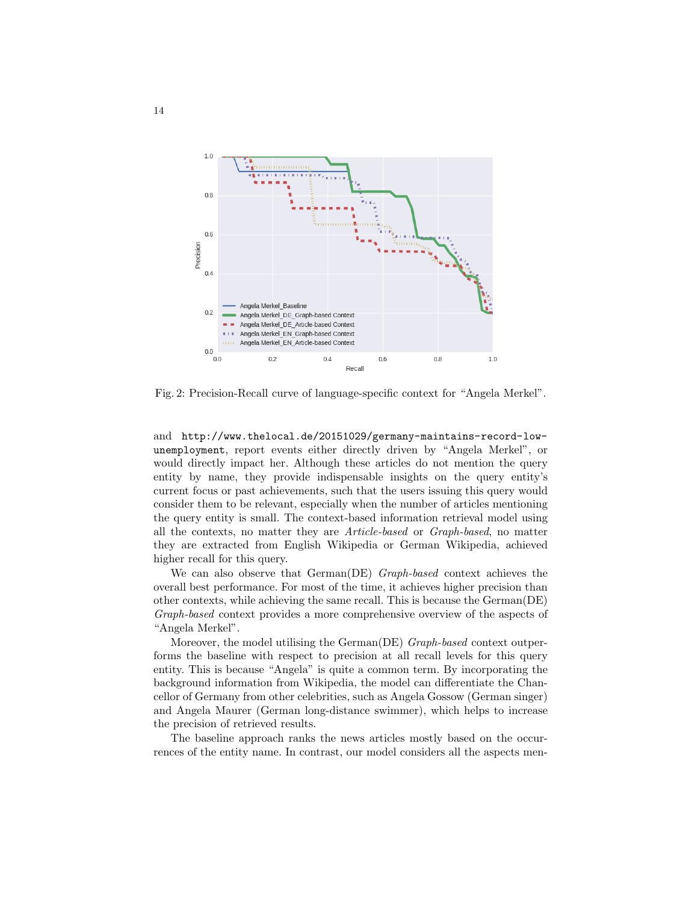<span id="page-14-0"></span>

Fig. 2: Precision-Recall curve of language-specific context for "Angela Merkel".

and [http://www.thelocal.de/20151029/germany-maintains-record-low](http://www.thelocal.de/20151029/germany-maintains-record-low-unemployment)[unemployment](http://www.thelocal.de/20151029/germany-maintains-record-low-unemployment), report events either directly driven by "Angela Merkel", or would directly impact her. Although these articles do not mention the query entity by name, they provide indispensable insights on the query entity's current focus or past achievements, such that the users issuing this query would consider them to be relevant, especially when the number of articles mentioning the query entity is small. The context-based information retrieval model using all the contexts, no matter they are *Article-based* or *Graph-based*, no matter they are extracted from English Wikipedia or German Wikipedia, achieved higher recall for this query.

We can also observe that German(DE) *Graph-based* context achieves the overall best performance. For most of the time, it achieves higher precision than other contexts, while achieving the same recall. This is because the German(DE) *Graph-based* context provides a more comprehensive overview of the aspects of "Angela Merkel".

Moreover, the model utilising the German(DE) *Graph-based* context outperforms the baseline with respect to precision at all recall levels for this query entity. This is because "Angela" is quite a common term. By incorporating the background information from Wikipedia, the model can differentiate the Chancellor of Germany from other celebrities, such as Angela Gossow (German singer) and Angela Maurer (German long-distance swimmer), which helps to increase the precision of retrieved results.

The baseline approach ranks the news articles mostly based on the occurrences of the entity name. In contrast, our model considers all the aspects men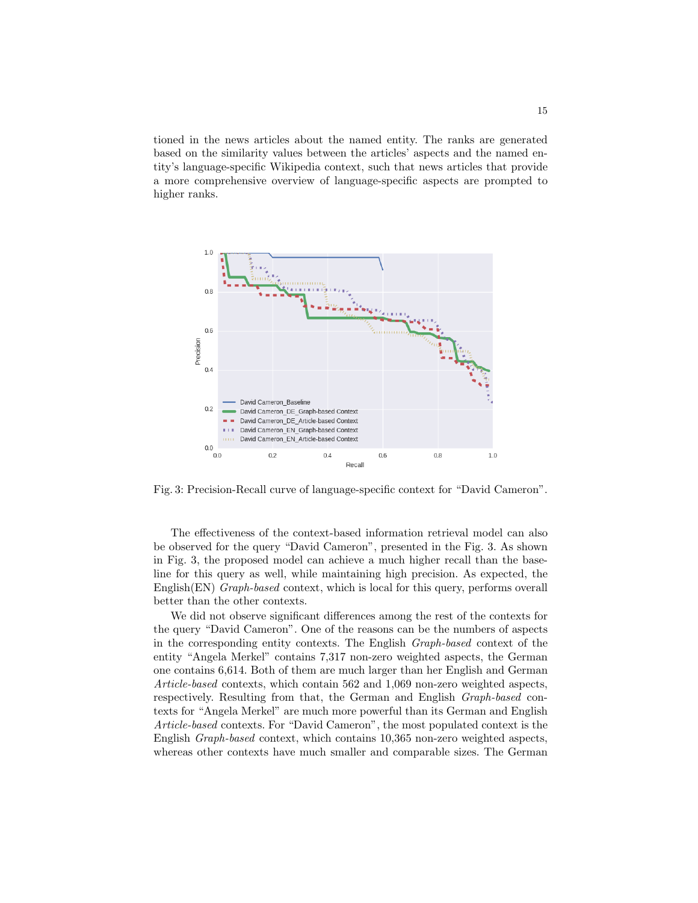tioned in the news articles about the named entity. The ranks are generated based on the similarity values between the articles' aspects and the named entity's language-specific Wikipedia context, such that news articles that provide a more comprehensive overview of language-specific aspects are prompted to higher ranks.

<span id="page-15-0"></span>

Fig. 3: Precision-Recall curve of language-specific context for "David Cameron".

The effectiveness of the context-based information retrieval model can also be observed for the query "David Cameron", presented in the Fig. [3.](#page-15-0) As shown in Fig. [3,](#page-15-0) the proposed model can achieve a much higher recall than the baseline for this query as well, while maintaining high precision. As expected, the English(EN) *Graph-based* context, which is local for this query, performs overall better than the other contexts.

We did not observe significant differences among the rest of the contexts for the query "David Cameron". One of the reasons can be the numbers of aspects in the corresponding entity contexts. The English *Graph-based* context of the entity "Angela Merkel" contains 7,317 non-zero weighted aspects, the German one contains 6,614. Both of them are much larger than her English and German *Article-based* contexts, which contain 562 and 1,069 non-zero weighted aspects, respectively. Resulting from that, the German and English *Graph-based* contexts for "Angela Merkel" are much more powerful than its German and English *Article-based* contexts. For "David Cameron", the most populated context is the English *Graph-based* context, which contains 10,365 non-zero weighted aspects, whereas other contexts have much smaller and comparable sizes. The German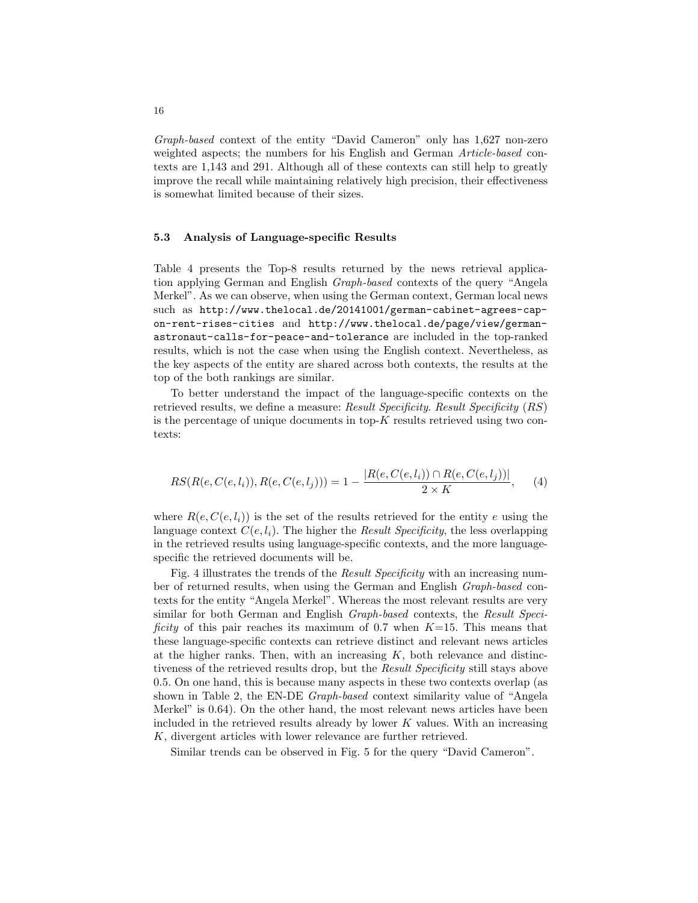*Graph-based* context of the entity "David Cameron" only has 1,627 non-zero weighted aspects; the numbers for his English and German *Article-based* contexts are 1,143 and 291. Although all of these contexts can still help to greatly improve the recall while maintaining relatively high precision, their effectiveness is somewhat limited because of their sizes.

#### **5.3 Analysis of Language-specific Results**

Table [4](#page-17-0) presents the Top-8 results returned by the news retrieval application applying German and English *Graph-based* contexts of the query "Angela Merkel". As we can observe, when using the German context, German local news such as [http://www.thelocal.de/20141001/german-cabinet-agrees-cap](http://www.thelocal.de/20141001/german-cabinet-agrees-cap-on-rent-rises-cities)[on-rent-rises-cities](http://www.thelocal.de/20141001/german-cabinet-agrees-cap-on-rent-rises-cities) and [http://www.thelocal.de/page/view/german](http://www.thelocal.de/page/view/german-astronaut-calls-for-peace-and-tolerance)[astronaut-calls-for-peace-and-tolerance](http://www.thelocal.de/page/view/german-astronaut-calls-for-peace-and-tolerance) are included in the top-ranked results, which is not the case when using the English context. Nevertheless, as the key aspects of the entity are shared across both contexts, the results at the top of the both rankings are similar.

To better understand the impact of the language-specific contexts on the retrieved results, we define a measure: *Result Specificity*. *Result Specificity* (*RS*) is the percentage of unique documents in top-*K* results retrieved using two contexts:

$$
RS(R(e, C(e, l_i)), R(e, C(e, l_j))) = 1 - \frac{|R(e, C(e, l_i)) \cap R(e, C(e, l_j))|}{2 \times K}, \quad (4)
$$

where  $R(e, C(e, l_i))$  is the set of the results retrieved for the entity *e* using the language context  $C(e, l_i)$ . The higher the *Result Specificity*, the less overlapping in the retrieved results using language-specific contexts, and the more languagespecific the retrieved documents will be.

Fig. [4](#page-18-0) illustrates the trends of the *Result Specificity* with an increasing number of returned results, when using the German and English *Graph-based* contexts for the entity "Angela Merkel". Whereas the most relevant results are very similar for both German and English *Graph-based* contexts, the *Result Specificity* of this pair reaches its maximum of 0.7 when *K*=15. This means that these language-specific contexts can retrieve distinct and relevant news articles at the higher ranks. Then, with an increasing *K*, both relevance and distinctiveness of the retrieved results drop, but the *Result Specificity* still stays above 0.5. On one hand, this is because many aspects in these two contexts overlap (as shown in Table [2](#page-10-1), the EN-DE *Graph-based* context similarity value of "Angela Merkel" is 0.64). On the other hand, the most relevant news articles have been included in the retrieved results already by lower *K* values. With an increasing *K*, divergent articles with lower relevance are further retrieved.

Similar trends can be observed in Fig. [5](#page-18-1) for the query "David Cameron".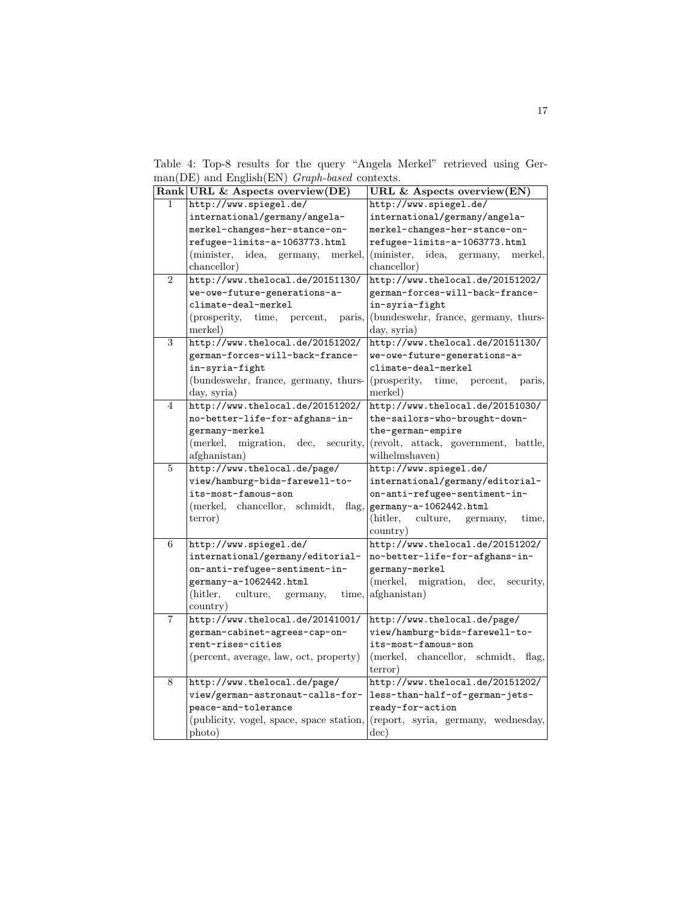<span id="page-17-0"></span>Table 4: Top-8 results for the query "Angela Merkel" retrieved using German(DE) and English(EN) *Graph-based* contexts.

|                | Rank URL & Aspects overview(DE)                        | URL & Aspects overview(EN)                |
|----------------|--------------------------------------------------------|-------------------------------------------|
| $\mathbf{1}$   |                                                        | http://www.spiegel.de/                    |
|                | http://www.spiegel.de/                                 |                                           |
|                | international/germany/angela-                          | international/germany/angela-             |
|                | merkel-changes-her-stance-on-                          | merkel-changes-her-stance-on-             |
|                | refugee-limits-a-1063773.html                          | refugee-limits-a-1063773.html             |
|                | (minister,<br>idea, germany,<br>merkel,                | idea, germany,<br>(minister,<br>merkel,   |
|                | chancellor)                                            | chancellor)                               |
| $\sqrt{2}$     | http://www.thelocal.de/20151130/                       | http://www.thelocal.de/20151202/          |
|                | we-owe-future-generations-a-                           | german-forces-will-back-france-           |
|                | climate-deal-merkel                                    | in-syria-fight                            |
|                | (prosperity, time, percent,<br>paris,                  | (bundeswehr, france, germany, thurs-      |
|                | merkel)                                                | day, syria)                               |
| $\overline{3}$ | http://www.thelocal.de/20151202/                       | http://www.thelocal.de/20151130/          |
|                | german-forces-will-back-france-                        | we-owe-future-generations-a-              |
|                | in-syria-fight                                         | climate-deal-merkel                       |
|                | (bundeswehr, france, germany, thurs-                   | (prosperity, time, percent,<br>paris,     |
|                | day, syria)                                            | merkel)                                   |
| 4              | http://www.thelocal.de/20151202/                       | http://www.thelocal.de/20151030/          |
|                | no-better-life-for-afghans-in-                         | the-sailors-who-brought-down-             |
|                | germany-merkel                                         | the-german-empire                         |
|                | (merkel,<br>migration,<br>$\mathrm{dec},$<br>security, | (revolt, attack, government, battle,      |
|                | afghanistan)                                           | wilhelmshaven)                            |
| 5              | http://www.thelocal.de/page/                           | http://www.spiegel.de/                    |
|                | view/hamburg-bids-farewell-to-                         | international/germany/editorial-          |
|                | its-most-famous-son                                    | on-anti-refugee-sentiment-in-             |
|                | chancellor, schmidt,<br>(merkel,<br>flag,              | germany-a-1062442.html                    |
|                | terror)                                                | culture,<br>(hitler,<br>germany,<br>time, |
|                |                                                        | country)                                  |
| 6              | http://www.spiegel.de/                                 | http://www.thelocal.de/20151202/          |
|                | international/germany/editorial-                       | no-better-life-for-afghans-in-            |
|                | on-anti-refugee-sentiment-in-                          | germany-merkel                            |
|                | germany-a-1062442.html                                 | (merkel, migration,<br>dec,<br>security,  |
|                | (hitler,<br>culture,<br>germany,<br>time,              | afghanistan)                              |
|                | country)                                               |                                           |
| $\overline{7}$ | http://www.thelocal.de/20141001/                       | http://www.thelocal.de/page/              |
|                | german-cabinet-agrees-cap-on-                          | view/hamburg-bids-farewell-to-            |
|                | rent-rises-cities                                      | its-most-famous-son                       |
|                | (percent, average, law, oct, property)                 | (merkel, chancellor, schmidt,<br>flag,    |
|                |                                                        | terror)                                   |
| 8              | http://www.thelocal.de/page/                           | http://www.thelocal.de/20151202/          |
|                | view/german-astronaut-calls-for-                       | less-than-half-of-german-jets-            |
|                | peace-and-tolerance                                    | ready-for-action                          |
|                | (publicity, vogel, space, space station,               | (report, syria, germany, wednesday,       |
|                | photo)                                                 | dec)                                      |
|                |                                                        |                                           |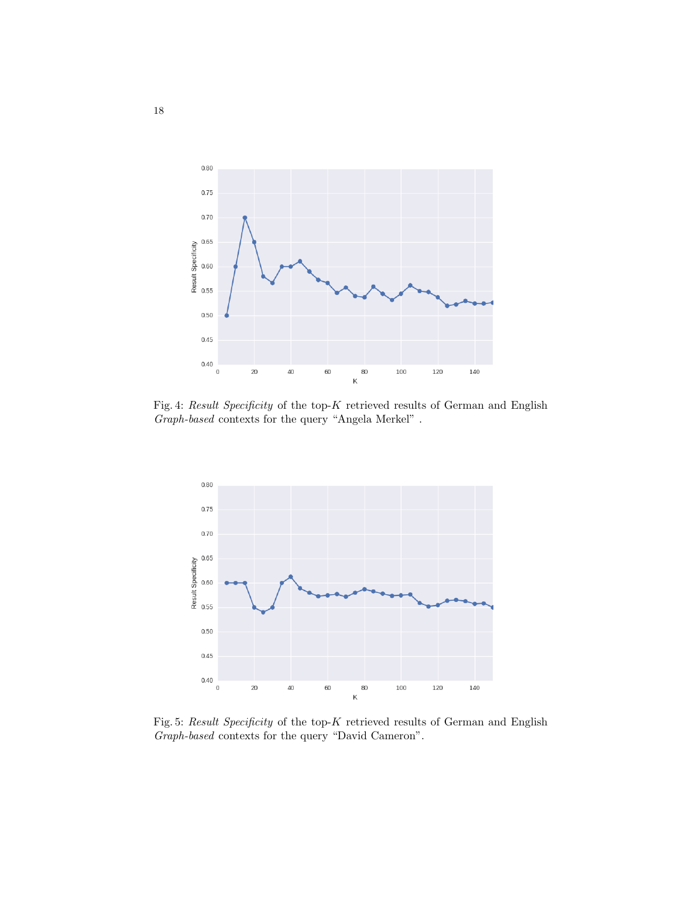<span id="page-18-0"></span>

Fig. 4: *Result Specificity* of the top-*K* retrieved results of German and English *Graph-based* contexts for the query "Angela Merkel" .

<span id="page-18-1"></span>

Fig. 5: *Result Specificity* of the top-*K* retrieved results of German and English *Graph-based* contexts for the query "David Cameron".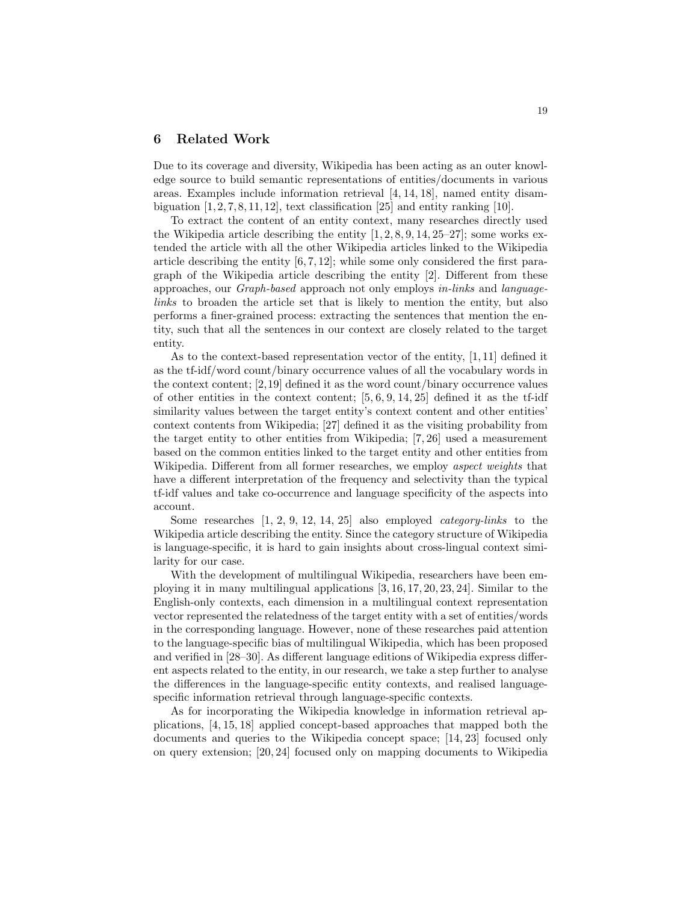### **6 Related Work**

Due to its coverage and diversity, Wikipedia has been acting as an outer knowledge source to build semantic representations of entities/documents in various areas. Examples include information retrieval [\[4](#page-21-1), [14](#page-21-2), [18\]](#page-22-3), named entity disambiguation  $[1, 2, 7, 8, 11, 12]$  $[1, 2, 7, 8, 11, 12]$  $[1, 2, 7, 8, 11, 12]$  $[1, 2, 7, 8, 11, 12]$  $[1, 2, 7, 8, 11, 12]$  $[1, 2, 7, 8, 11, 12]$  $[1, 2, 7, 8, 11, 12]$  $[1, 2, 7, 8, 11, 12]$  $[1, 2, 7, 8, 11, 12]$  $[1, 2, 7, 8, 11, 12]$  $[1, 2, 7, 8, 11, 12]$  $[1, 2, 7, 8, 11, 12]$ , text classification  $[25]$  $[25]$  and entity ranking  $[10]$  $[10]$ .

To extract the content of an entity context, many researches directly used the Wikipedia article describing the entity  $[1, 2, 8, 9, 14, 25-27]$  $[1, 2, 8, 9, 14, 25-27]$  $[1, 2, 8, 9, 14, 25-27]$  $[1, 2, 8, 9, 14, 25-27]$  $[1, 2, 8, 9, 14, 25-27]$  $[1, 2, 8, 9, 14, 25-27]$  $[1, 2, 8, 9, 14, 25-27]$  $[1, 2, 8, 9, 14, 25-27]$  $[1, 2, 8, 9, 14, 25-27]$  $[1, 2, 8, 9, 14, 25-27]$  $[1, 2, 8, 9, 14, 25-27]$  $[1, 2, 8, 9, 14, 25-27]$  $[1, 2, 8, 9, 14, 25-27]$ ; some works extended the article with all the other Wikipedia articles linked to the Wikipedia article describing the entity  $[6, 7, 12]$  $[6, 7, 12]$  $[6, 7, 12]$  $[6, 7, 12]$  $[6, 7, 12]$  $[6, 7, 12]$  $[6, 7, 12]$ ; while some only considered the first paragraph of the Wikipedia article describing the entity [[2\]](#page-21-4). Different from these approaches, our *Graph-based* approach not only employs *in-links* and *languagelinks* to broaden the article set that is likely to mention the entity, but also performs a finer-grained process: extracting the sentences that mention the entity, such that all the sentences in our context are closely related to the target entity.

As to the context-based representation vector of the entity, [\[1](#page-21-3), [11](#page-21-7)] defined it as the tf-idf/word count/binary occurrence values of all the vocabulary words in the context content; [\[2](#page-21-4),[19\]](#page-22-6) defined it as the word count/binary occurrence values of other entities in the context content;  $[5, 6, 9, 14, 25]$  $[5, 6, 9, 14, 25]$  $[5, 6, 9, 14, 25]$  $[5, 6, 9, 14, 25]$  $[5, 6, 9, 14, 25]$  $[5, 6, 9, 14, 25]$  $[5, 6, 9, 14, 25]$  $[5, 6, 9, 14, 25]$  $[5, 6, 9, 14, 25]$  $[5, 6, 9, 14, 25]$  defined it as the tf-idf similarity values between the target entity's context content and other entities' context contents from Wikipedia; [[27\]](#page-22-5) defined it as the visiting probability from the target entity to other entities from Wikipedia; [[7,](#page-21-5) [26](#page-22-7)] used a measurement based on the common entities linked to the target entity and other entities from Wikipedia. Different from all former researches, we employ *aspect weights* that have a different interpretation of the frequency and selectivity than the typical tf-idf values and take co-occurrence and language specificity of the aspects into account.

Some researches [\[1](#page-21-3), [2,](#page-21-4) [9,](#page-21-10) [12,](#page-21-8) [14,](#page-21-2) [25](#page-22-4)] also employed *category-links* to the Wikipedia article describing the entity. Since the category structure of Wikipedia is language-specific, it is hard to gain insights about cross-lingual context similarity for our case.

With the development of multilingual Wikipedia, researchers have been employing it in many multilingual applications [[3](#page-21-13), [16](#page-21-14), [17,](#page-22-8) [20,](#page-22-9) [23](#page-22-10), [24](#page-22-11)]. Similar to the English-only contexts, each dimension in a multilingual context representation vector represented the relatedness of the target entity with a set of entities/words in the corresponding language. However, none of these researches paid attention to the language-specific bias of multilingual Wikipedia, which has been proposed and verified in [[28–](#page-22-12)[30\]](#page-22-13). As different language editions of Wikipedia express different aspects related to the entity, in our research, we take a step further to analyse the differences in the language-specific entity contexts, and realised languagespecific information retrieval through language-specific contexts.

As for incorporating the Wikipedia knowledge in information retrieval applications, [\[4](#page-21-1), [15,](#page-21-15) [18](#page-22-3)] applied concept-based approaches that mapped both the documents and queries to the Wikipedia concept space; [\[14](#page-21-2), [23](#page-22-10)] focused only on query extension; [[20,](#page-22-9) [24\]](#page-22-11) focused only on mapping documents to Wikipedia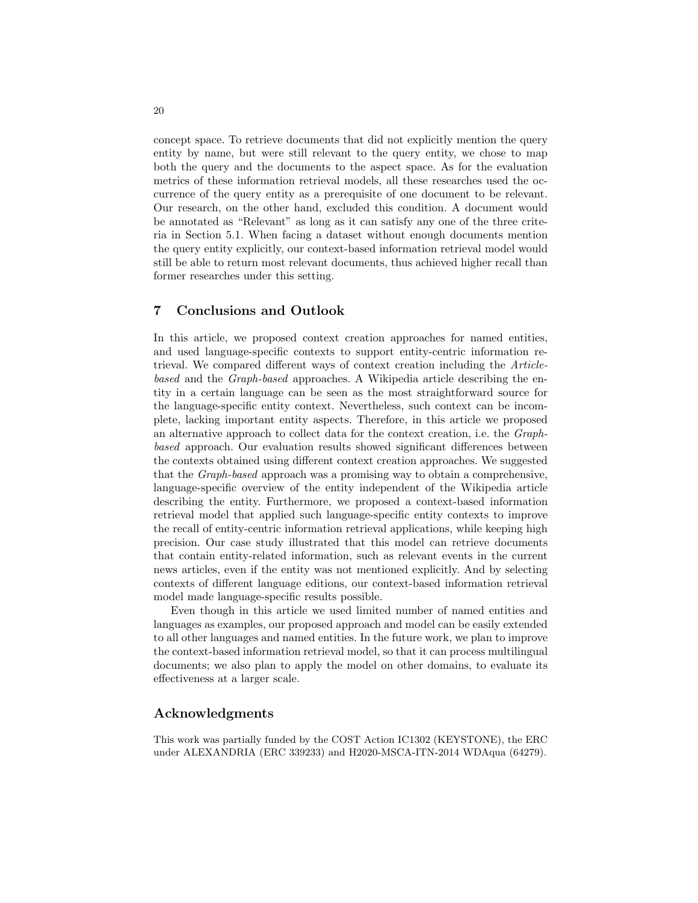concept space. To retrieve documents that did not explicitly mention the query entity by name, but were still relevant to the query entity, we chose to map both the query and the documents to the aspect space. As for the evaluation metrics of these information retrieval models, all these researches used the occurrence of the query entity as a prerequisite of one document to be relevant. Our research, on the other hand, excluded this condition. A document would be annotated as "Relevant" as long as it can satisfy any one of the three criteria in Section [5.1](#page-12-1). When facing a dataset without enough documents mention the query entity explicitly, our context-based information retrieval model would still be able to return most relevant documents, thus achieved higher recall than former researches under this setting.

# **7 Conclusions and Outlook**

In this article, we proposed context creation approaches for named entities, and used language-specific contexts to support entity-centric information retrieval. We compared different ways of context creation including the *Articlebased* and the *Graph-based* approaches. A Wikipedia article describing the entity in a certain language can be seen as the most straightforward source for the language-specific entity context. Nevertheless, such context can be incomplete, lacking important entity aspects. Therefore, in this article we proposed an alternative approach to collect data for the context creation, i.e. the *Graphbased* approach. Our evaluation results showed significant differences between the contexts obtained using different context creation approaches. We suggested that the *Graph-based* approach was a promising way to obtain a comprehensive, language-specific overview of the entity independent of the Wikipedia article describing the entity. Furthermore, we proposed a context-based information retrieval model that applied such language-specific entity contexts to improve the recall of entity-centric information retrieval applications, while keeping high precision. Our case study illustrated that this model can retrieve documents that contain entity-related information, such as relevant events in the current news articles, even if the entity was not mentioned explicitly. And by selecting contexts of different language editions, our context-based information retrieval model made language-specific results possible.

Even though in this article we used limited number of named entities and languages as examples, our proposed approach and model can be easily extended to all other languages and named entities. In the future work, we plan to improve the context-based information retrieval model, so that it can process multilingual documents; we also plan to apply the model on other domains, to evaluate its effectiveness at a larger scale.

# **Acknowledgments**

This work was partially funded by the COST Action IC1302 (KEYSTONE), the ERC under ALEXANDRIA (ERC 339233) and H2020-MSCA-ITN-2014 WDAqua (64279).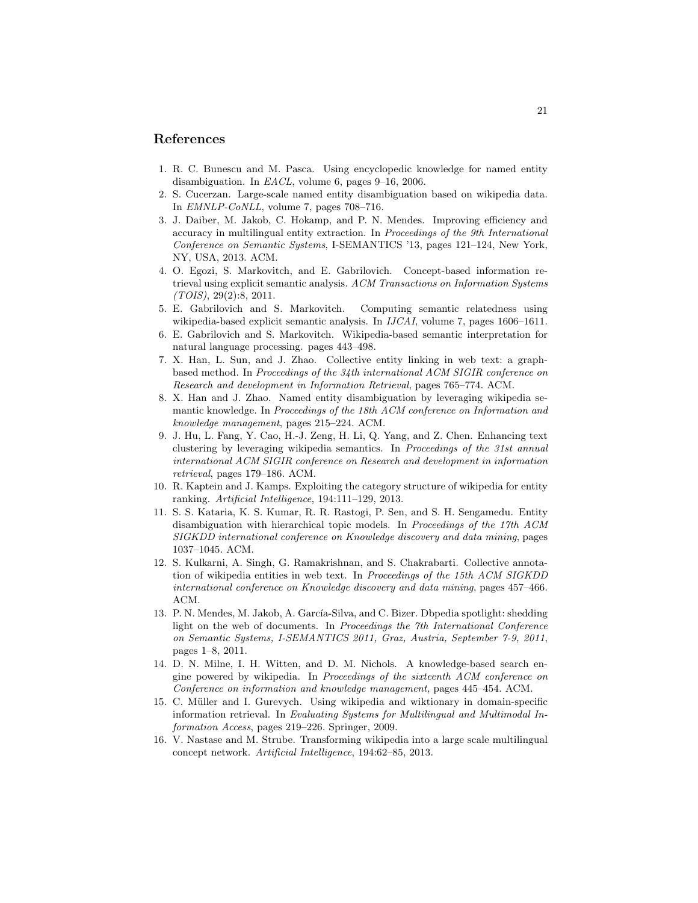### **References**

- <span id="page-21-3"></span>1. R. C. Bunescu and M. Pasca. Using encyclopedic knowledge for named entity disambiguation. In *EACL*, volume 6, pages 9–16, 2006.
- <span id="page-21-4"></span>2. S. Cucerzan. Large-scale named entity disambiguation based on wikipedia data. In *EMNLP-CoNLL*, volume 7, pages 708–716.
- <span id="page-21-13"></span>3. J. Daiber, M. Jakob, C. Hokamp, and P. N. Mendes. Improving efficiency and accuracy in multilingual entity extraction. In *Proceedings of the 9th International Conference on Semantic Systems*, I-SEMANTICS '13, pages 121–124, New York, NY, USA, 2013. ACM.
- <span id="page-21-1"></span>4. O. Egozi, S. Markovitch, and E. Gabrilovich. Concept-based information retrieval using explicit semantic analysis. *ACM Transactions on Information Systems (TOIS)*, 29(2):8, 2011.
- <span id="page-21-12"></span>5. E. Gabrilovich and S. Markovitch. Computing semantic relatedness using wikipedia-based explicit semantic analysis. In *IJCAI*, volume 7, pages 1606–1611.
- <span id="page-21-11"></span>6. E. Gabrilovich and S. Markovitch. Wikipedia-based semantic interpretation for natural language processing. pages 443–498.
- <span id="page-21-5"></span>7. X. Han, L. Sun, and J. Zhao. Collective entity linking in web text: a graphbased method. In *Proceedings of the 34th international ACM SIGIR conference on Research and development in Information Retrieval*, pages 765–774. ACM.
- <span id="page-21-6"></span>8. X. Han and J. Zhao. Named entity disambiguation by leveraging wikipedia semantic knowledge. In *Proceedings of the 18th ACM conference on Information and knowledge management*, pages 215–224. ACM.
- <span id="page-21-10"></span>9. J. Hu, L. Fang, Y. Cao, H.-J. Zeng, H. Li, Q. Yang, and Z. Chen. Enhancing text clustering by leveraging wikipedia semantics. In *Proceedings of the 31st annual international ACM SIGIR conference on Research and development in information retrieval*, pages 179–186. ACM.
- <span id="page-21-9"></span>10. R. Kaptein and J. Kamps. Exploiting the category structure of wikipedia for entity ranking. *Artificial Intelligence*, 194:111–129, 2013.
- <span id="page-21-7"></span>11. S. S. Kataria, K. S. Kumar, R. R. Rastogi, P. Sen, and S. H. Sengamedu. Entity disambiguation with hierarchical topic models. In *Proceedings of the 17th ACM SIGKDD international conference on Knowledge discovery and data mining*, pages 1037–1045. ACM.
- <span id="page-21-8"></span>12. S. Kulkarni, A. Singh, G. Ramakrishnan, and S. Chakrabarti. Collective annotation of wikipedia entities in web text. In *Proceedings of the 15th ACM SIGKDD international conference on Knowledge discovery and data mining*, pages 457–466. ACM.
- <span id="page-21-0"></span>13. P. N. Mendes, M. Jakob, A. García-Silva, and C. Bizer. Dbpedia spotlight: shedding light on the web of documents. In *Proceedings the 7th International Conference on Semantic Systems, I-SEMANTICS 2011, Graz, Austria, September 7-9, 2011*, pages 1–8, 2011.
- <span id="page-21-2"></span>14. D. N. Milne, I. H. Witten, and D. M. Nichols. A knowledge-based search engine powered by wikipedia. In *Proceedings of the sixteenth ACM conference on Conference on information and knowledge management*, pages 445–454. ACM.
- <span id="page-21-15"></span>15. C. Müller and I. Gurevych. Using wikipedia and wiktionary in domain-specific information retrieval. In *Evaluating Systems for Multilingual and Multimodal Information Access*, pages 219–226. Springer, 2009.
- <span id="page-21-14"></span>16. V. Nastase and M. Strube. Transforming wikipedia into a large scale multilingual concept network. *Artificial Intelligence*, 194:62–85, 2013.